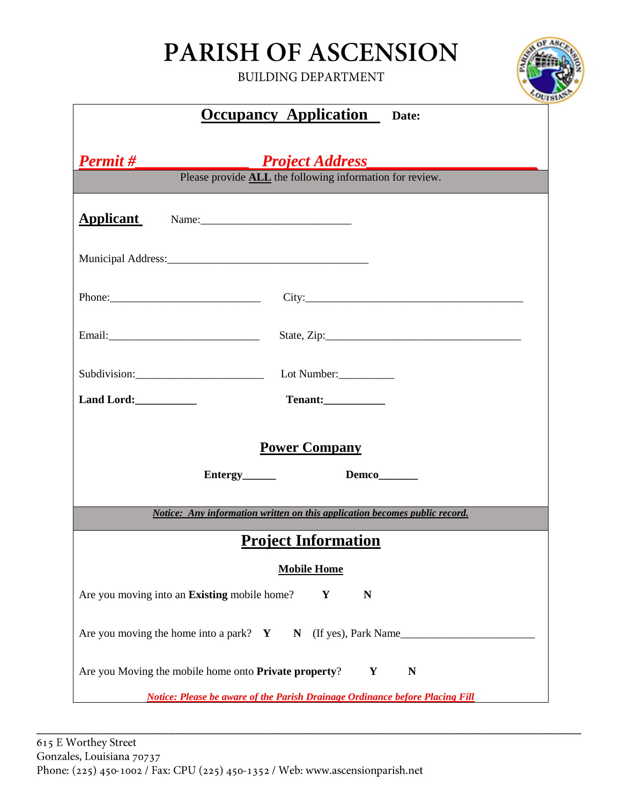## PARISH OF ASCENSION

**BUILDING DEPARTMENT** 



| <b>Occupancy Application</b> Date:                                                                                                                                                                                                                                               |
|----------------------------------------------------------------------------------------------------------------------------------------------------------------------------------------------------------------------------------------------------------------------------------|
| <b>Permit</b> #<br><b>Project Address</b>                                                                                                                                                                                                                                        |
| Please provide <b>ALL</b> the following information for review.                                                                                                                                                                                                                  |
| <b>Applicant</b>                                                                                                                                                                                                                                                                 |
|                                                                                                                                                                                                                                                                                  |
| Phone: $\frac{1}{2}$ Phone: $\frac{1}{2}$ Phone: $\frac{1}{2}$ Phone: $\frac{1}{2}$ Phone: $\frac{1}{2}$ Phone: $\frac{1}{2}$ Phone: $\frac{1}{2}$ Phone: $\frac{1}{2}$ Phone: $\frac{1}{2}$ Phone: $\frac{1}{2}$ Phone: $\frac{1}{2}$ Phone: $\frac{1}{2}$ Phone: $\frac{1}{2}$ |
|                                                                                                                                                                                                                                                                                  |
| Subdivision:<br>Lot Number:                                                                                                                                                                                                                                                      |
| Tenant:<br>Land Lord:                                                                                                                                                                                                                                                            |
| <b>Power Company</b>                                                                                                                                                                                                                                                             |
| Entergy_______<br>Demco______                                                                                                                                                                                                                                                    |
| Notice: Any information written on this application becomes public record.                                                                                                                                                                                                       |
| <b>Project Information</b>                                                                                                                                                                                                                                                       |
| <b>Mobile Home</b>                                                                                                                                                                                                                                                               |
| Are you moving into an Existing mobile home?<br>Y<br>N                                                                                                                                                                                                                           |
| Are you moving the home into a park? $Y$ $N$ (If yes), Park Name                                                                                                                                                                                                                 |
| Are you Moving the mobile home onto Private property?<br>Y<br>N                                                                                                                                                                                                                  |
| <b>Notice: Please be aware of the Parish Drainage Ordinance before Placing Fill</b>                                                                                                                                                                                              |

\_\_\_\_\_\_\_\_\_\_\_\_\_\_\_\_\_\_\_\_\_\_\_\_\_\_\_\_\_\_\_\_\_\_\_\_\_\_\_\_\_\_\_\_\_\_\_\_\_\_\_\_\_\_\_\_\_\_\_\_\_\_\_\_\_\_\_\_\_\_\_\_\_\_\_\_\_\_\_\_\_\_\_\_\_\_\_\_\_\_\_\_\_\_\_\_\_\_